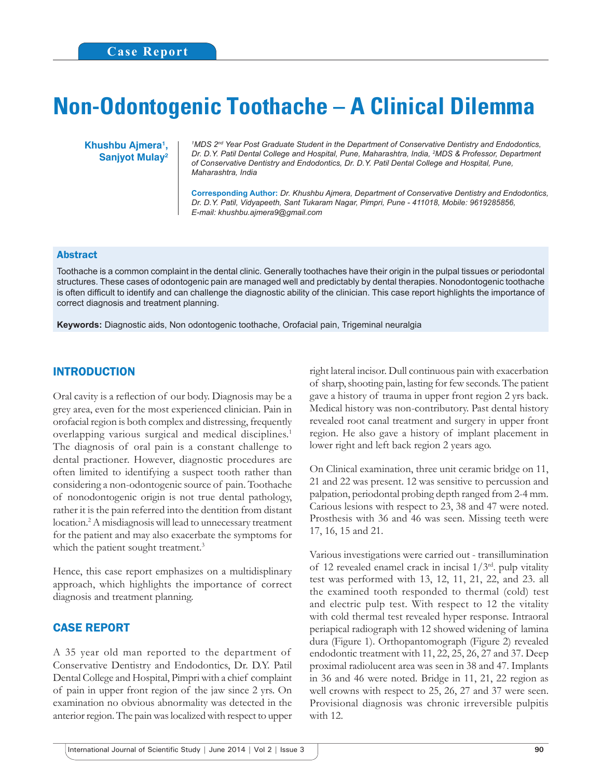# **Non-Odontogenic Toothache – A Clinical Dilemma**

**Khushbu Ajmera1 , Sanjyot Mulay2**

*1 MDS 2nd Year Post Graduate Student in the Department of Conservative Dentistry and Endodontics, Dr. D.Y. Patil Dental College and Hospital, Pune, Maharashtra, India, 2 MDS & Professor, Department of Conservative Dentistry and Endodontics, Dr. D.Y. Patil Dental College and Hospital, Pune, Maharashtra, India*

**Corresponding Author:** *Dr. Khushbu Ajmera, Department of Conservative Dentistry and Endodontics, Dr. D.Y. Patil, Vidyapeeth, Sant Tukaram Nagar, Pimpri, Pune - 411018, Mobile: 9619285856, E-mail: khushbu.ajmera9@gmail.com*

### Abstract

Toothache is a common complaint in the dental clinic. Generally toothaches have their origin in the pulpal tissues or periodontal structures. These cases of odontogenic pain are managed well and predictably by dental therapies. Nonodontogenic toothache is often difficult to identify and can challenge the diagnostic ability of the clinician. This case report highlights the importance of correct diagnosis and treatment planning.

**Keywords:** Diagnostic aids, Non odontogenic toothache, Orofacial pain, Trigeminal neuralgia

## INTRODUCTION

Oral cavity is a reflection of our body. Diagnosis may be a grey area, even for the most experienced clinician. Pain in orofacial region is both complex and distressing, frequently overlapping various surgical and medical disciplines.<sup>1</sup> The diagnosis of oral pain is a constant challenge to dental practioner. However, diagnostic procedures are often limited to identifying a suspect tooth rather than considering a non-odontogenic source of pain. Toothache of nonodontogenic origin is not true dental pathology, rather it is the pain referred into the dentition from distant location.2 A misdiagnosis will lead to unnecessary treatment for the patient and may also exacerbate the symptoms for which the patient sought treatment.<sup>3</sup>

Hence, this case report emphasizes on a multidisplinary approach, which highlights the importance of correct diagnosis and treatment planning.

## CASE REPORT

A 35 year old man reported to the department of Conservative Dentistry and Endodontics, Dr. D.Y. Patil Dental College and Hospital, Pimpri with a chief complaint of pain in upper front region of the jaw since 2 yrs. On examination no obvious abnormality was detected in the anterior region. The pain was localized with respect to upper

right lateral incisor. Dull continuous pain with exacerbation of sharp, shooting pain, lasting for few seconds. The patient gave a history of trauma in upper front region 2 yrs back. Medical history was non-contributory. Past dental history revealed root canal treatment and surgery in upper front region. He also gave a history of implant placement in lower right and left back region 2 years ago.

On Clinical examination, three unit ceramic bridge on 11, 21 and 22 was present. 12 was sensitive to percussion and palpation, periodontal probing depth ranged from 2-4 mm. Carious lesions with respect to 23, 38 and 47 were noted. Prosthesis with 36 and 46 was seen. Missing teeth were 17, 16, 15 and 21.

Various investigations were carried out - transillumination of 12 revealed enamel crack in incisal  $1/3^{rd}$ . pulp vitality test was performed with 13, 12, 11, 21, 22, and 23. all the examined tooth responded to thermal (cold) test and electric pulp test. With respect to 12 the vitality with cold thermal test revealed hyper response. Intraoral periapical radiograph with 12 showed widening of lamina dura (Figure 1). Orthopantomograph (Figure 2) revealed endodontic treatment with 11, 22, 25, 26, 27 and 37. Deep proximal radiolucent area was seen in 38 and 47. Implants in 36 and 46 were noted. Bridge in 11, 21, 22 region as well crowns with respect to 25, 26, 27 and 37 were seen. Provisional diagnosis was chronic irreversible pulpitis with 12.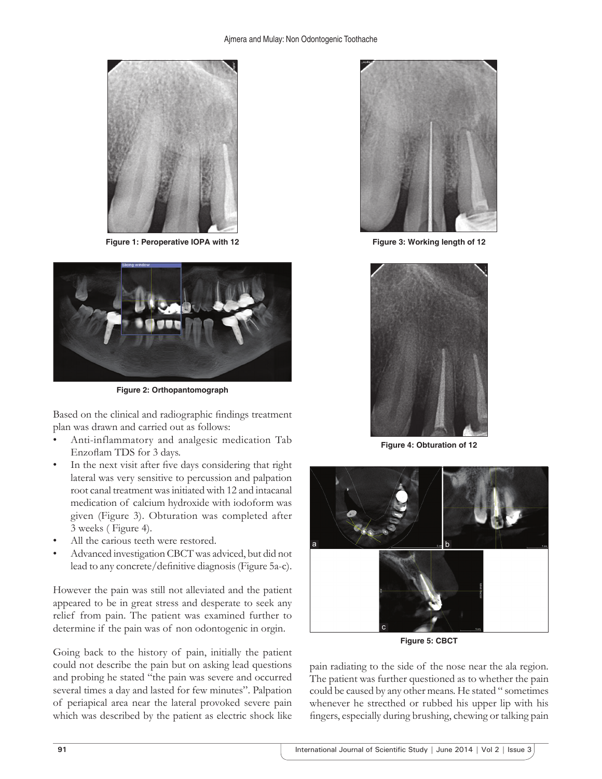

**Figure 1: Peroperative IOPA with 12**



**Figure 2: Orthopantomograph**

Based on the clinical and radiographic findings treatment plan was drawn and carried out as follows:

- Anti-inflammatory and analgesic medication Tab Enzoflam TDS for 3 days.
- In the next visit after five days considering that right lateral was very sensitive to percussion and palpation root canal treatment was initiated with 12 and intacanal medication of calcium hydroxide with iodoform was given (Figure 3). Obturation was completed after 3 weeks ( Figure 4).
- All the carious teeth were restored.
- Advanced investigation CBCT was adviced, but did not lead to any concrete/definitive diagnosis (Figure 5a-c).

However the pain was still not alleviated and the patient appeared to be in great stress and desperate to seek any relief from pain. The patient was examined further to determine if the pain was of non odontogenic in orgin.

Going back to the history of pain, initially the patient could not describe the pain but on asking lead questions and probing he stated "the pain was severe and occurred several times a day and lasted for few minutes". Palpation of periapical area near the lateral provoked severe pain which was described by the patient as electric shock like



**Figure 3: Working length of 12**



**Figure 4: Obturation of 12**



**Figure 5: CBCT**

pain radiating to the side of the nose near the ala region. The patient was further questioned as to whether the pain could be caused by any other means. He stated " sometimes whenever he strecthed or rubbed his upper lip with his fingers, especially during brushing, chewing or talking pain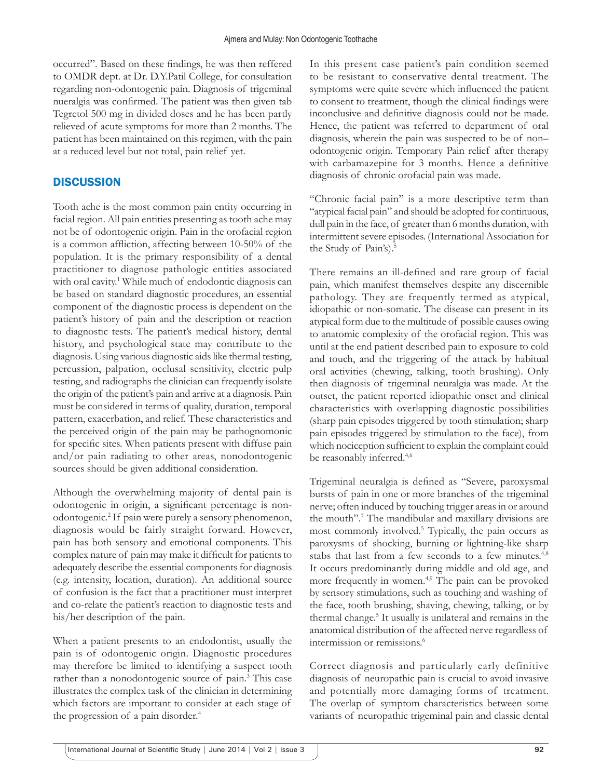occurred". Based on these findings, he was then reffered to OMDR dept. at Dr. D.Y.Patil College, for consultation regarding non-odontogenic pain. Diagnosis of trigeminal nueralgia was confirmed. The patient was then given tab Tegretol 500 mg in divided doses and he has been partly relieved of acute symptoms for more than 2 months. The patient has been maintained on this regimen, with the pain at a reduced level but not total, pain relief yet.

# **DISCUSSION**

Tooth ache is the most common pain entity occurring in facial region. All pain entities presenting as tooth ache may not be of odontogenic origin. Pain in the orofacial region is a common affliction, affecting between  $10-50%$  of the population. It is the primary responsibility of a dental practitioner to diagnose pathologic entities associated with oral cavity.<sup>1</sup> While much of endodontic diagnosis can be based on standard diagnostic procedures, an essential component of the diagnostic process is dependent on the patient's history of pain and the description or reaction to diagnostic tests. The patient's medical history, dental history, and psychological state may contribute to the diagnosis. Using various diagnostic aids like thermal testing, percussion, palpation, occlusal sensitivity, electric pulp testing, and radiographs the clinician can frequently isolate the origin of the patient's pain and arrive at a diagnosis. Pain must be considered in terms of quality, duration, temporal pattern, exacerbation, and relief. These characteristics and the perceived origin of the pain may be pathognomonic for specific sites. When patients present with diffuse pain and/or pain radiating to other areas, nonodontogenic sources should be given additional consideration.

Although the overwhelming majority of dental pain is odontogenic in origin, a significant percentage is nonodontogenic.2 If pain were purely a sensory phenomenon, diagnosis would be fairly straight forward. However, pain has both sensory and emotional components. This complex nature of pain may make it difficult for patients to adequately describe the essential components for diagnosis (e.g. intensity, location, duration). An additional source of confusion is the fact that a practitioner must interpret and co-relate the patient's reaction to diagnostic tests and his/her description of the pain.

When a patient presents to an endodontist, usually the pain is of odontogenic origin. Diagnostic procedures may therefore be limited to identifying a suspect tooth rather than a nonodontogenic source of pain.<sup>3</sup> This case illustrates the complex task of the clinician in determining which factors are important to consider at each stage of the progression of a pain disorder.<sup>4</sup>

In this present case patient's pain condition seemed to be resistant to conservative dental treatment. The symptoms were quite severe which influenced the patient to consent to treatment, though the clinical findings were inconclusive and definitive diagnosis could not be made. Hence, the patient was referred to department of oral diagnosis, wherein the pain was suspected to be of non– odontogenic origin. Temporary Pain relief after therapy with carbamazepine for 3 months. Hence a definitive diagnosis of chronic orofacial pain was made.

"Chronic facial pain" is a more descriptive term than "atypical facial pain" and should be adopted for continuous, dull pain in the face, of greater than 6 months duration, with intermittent severe episodes. (International Association for the Study of Pain's).<sup>5</sup>

There remains an ill-defined and rare group of facial pain, which manifest themselves despite any discernible pathology. They are frequently termed as atypical, idiopathic or non-somatic. The disease can present in its atypical form due to the multitude of possible causes owing to anatomic complexity of the orofacial region. This was until at the end patient described pain to exposure to cold and touch, and the triggering of the attack by habitual oral activities (chewing, talking, tooth brushing). Only then diagnosis of trigeminal neuralgia was made. At the outset, the patient reported idiopathic onset and clinical characteristics with overlapping diagnostic possibilities (sharp pain episodes triggered by tooth stimulation; sharp pain episodes triggered by stimulation to the face), from which nociception sufficient to explain the complaint could be reasonably inferred.<sup>4,6</sup>

Trigeminal neuralgia is defined as "Severe, paroxysmal bursts of pain in one or more branches of the trigeminal nerve; often induced by touching trigger areas in or around the mouth".7 The mandibular and maxillary divisions are most commonly involved.5 Typically, the pain occurs as paroxysms of shocking, burning or lightning-like sharp stabs that last from a few seconds to a few minutes.<sup>4,8</sup> It occurs predominantly during middle and old age, and more frequently in women.<sup>4,9</sup> The pain can be provoked by sensory stimulations, such as touching and washing of the face, tooth brushing, shaving, chewing, talking, or by thermal change.<sup>5</sup> It usually is unilateral and remains in the anatomical distribution of the affected nerve regardless of intermission or remissions.6

Correct diagnosis and particularly early definitive diagnosis of neuropathic pain is crucial to avoid invasive and potentially more damaging forms of treatment. The overlap of symptom characteristics between some variants of neuropathic trigeminal pain and classic dental